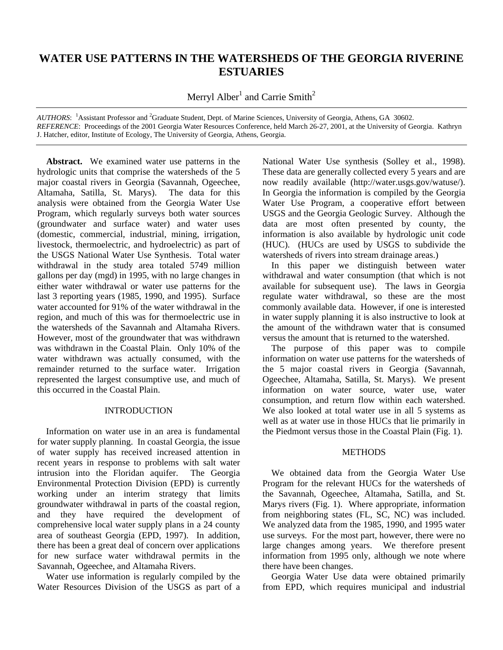# **WATER USE PATTERNS IN THE WATERSHEDS OF THE GEORGIA RIVERINE ESTUARIES**

Merryl Alber<sup>1</sup> and Carrie Smith<sup>2</sup>

*AUTHORS*: <sup>1</sup>Assistant Professor and <sup>2</sup>Graduate Student, Dept. of Marine Sciences, University of Georgia, Athens, GA 30602. *REFERENCE*: Proceedings of the 2001 Georgia Water Resources Conference, held March 26-27, 2001, at the University of Georgia. Kathryn J. Hatcher, editor, Institute of Ecology, The University of Georgia, Athens, Georgia.

 **Abstract.** We examined water use patterns in the hydrologic units that comprise the watersheds of the 5 major coastal rivers in Georgia (Savannah, Ogeechee, Altamaha, Satilla, St. Marys). The data for this analysis were obtained from the Georgia Water Use Program, which regularly surveys both water sources (groundwater and surface water) and water uses (domestic, commercial, industrial, mining, irrigation, livestock, thermoelectric, and hydroelectric) as part of the USGS National Water Use Synthesis. Total water withdrawal in the study area totaled 5749 million gallons per day (mgd) in 1995, with no large changes in either water withdrawal or water use patterns for the last 3 reporting years (1985, 1990, and 1995). Surface water accounted for 91% of the water withdrawal in the region, and much of this was for thermoelectric use in the watersheds of the Savannah and Altamaha Rivers. However, most of the groundwater that was withdrawn was withdrawn in the Coastal Plain. Only 10% of the water withdrawn was actually consumed, with the remainder returned to the surface water. Irrigation represented the largest consumptive use, and much of this occurred in the Coastal Plain.

# INTRODUCTION

Information on water use in an area is fundamental for water supply planning. In coastal Georgia, the issue of water supply has received increased attention in recent years in response to problems with salt water intrusion into the Floridan aquifer. The Georgia Environmental Protection Division (EPD) is currently working under an interim strategy that limits groundwater withdrawal in parts of the coastal region, and they have required the development of comprehensive local water supply plans in a 24 county area of southeast Georgia (EPD, 1997). In addition, there has been a great deal of concern over applications for new surface water withdrawal permits in the Savannah, Ogeechee, and Altamaha Rivers.

Water use information is regularly compiled by the Water Resources Division of the USGS as part of a

National Water Use synthesis (Solley et al., 1998). These data are generally collected every 5 years and are now readily available (http://water.usgs.gov/watuse/). In Georgia the information is compiled by the Georgia Water Use Program, a cooperative effort between USGS and the Georgia Geologic Survey. Although the data are most often presented by county, the information is also available by hydrologic unit code (HUC). (HUCs are used by USGS to subdivide the watersheds of rivers into stream drainage areas.)

In this paper we distinguish between water withdrawal and water consumption (that which is not available for subsequent use). The laws in Georgia regulate water withdrawal, so these are the most commonly available data. However, if one is interested in water supply planning it is also instructive to look at the amount of the withdrawn water that is consumed versus the amount that is returned to the watershed.

The purpose of this paper was to compile information on water use patterns for the watersheds of the 5 major coastal rivers in Georgia (Savannah, Ogeechee, Altamaha, Satilla, St. Marys). We present information on water source, water use, water consumption, and return flow within each watershed. We also looked at total water use in all 5 systems as well as at water use in those HUCs that lie primarily in the Piedmont versus those in the Coastal Plain (Fig. 1).

# **METHODS**

We obtained data from the Georgia Water Use Program for the relevant HUCs for the watersheds of the Savannah, Ogeechee, Altamaha, Satilla, and St. Marys rivers (Fig. 1). Where appropriate, information from neighboring states (FL, SC, NC) was included. We analyzed data from the 1985, 1990, and 1995 water use surveys. For the most part, however, there were no large changes among years. We therefore present information from 1995 only, although we note where there have been changes.

Georgia Water Use data were obtained primarily from EPD, which requires municipal and industrial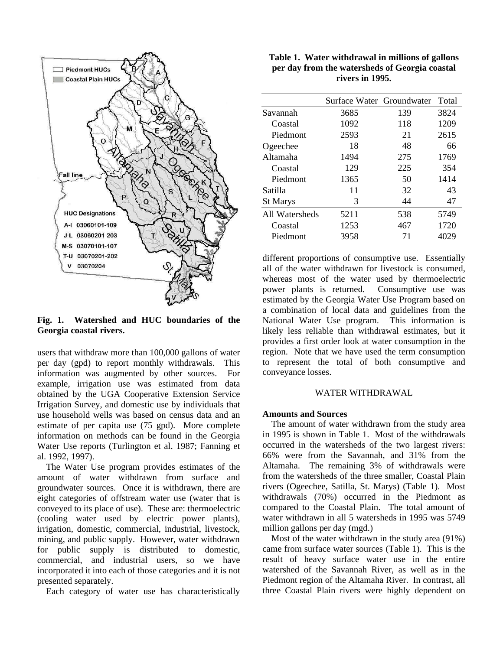

**Fig. 1. Watershed and HUC boundaries of the Georgia coastal rivers.**

users that withdraw more than 100,000 gallons of water per day (gpd) to report monthly withdrawals. This information was augmented by other sources. For example, irrigation use was estimated from data obtained by the UGA Cooperative Extension Service Irrigation Survey, and domestic use by individuals that use household wells was based on census data and an estimate of per capita use (75 gpd). More complete information on methods can be found in the Georgia Water Use reports (Turlington et al. 1987; Fanning et al. 1992, 1997).

The Water Use program provides estimates of the amount of water withdrawn from surface and groundwater sources. Once it is withdrawn, there are eight categories of offstream water use (water that is conveyed to its place of use). These are: thermoelectric (cooling water used by electric power plants), irrigation, domestic, commercial, industrial, livestock, mining, and public supply. However, water withdrawn for public supply is distributed to domestic, commercial, and industrial users, so we have incorporated it into each of those categories and it is not presented separately.

Each category of water use has characteristically

|                                                | Table 1. Water withdrawal in millions of gallons |  |  |  |  |  |  |  |
|------------------------------------------------|--------------------------------------------------|--|--|--|--|--|--|--|
| per day from the watersheds of Georgia coastal |                                                  |  |  |  |  |  |  |  |
| rivers in 1995.                                |                                                  |  |  |  |  |  |  |  |

|                 | Surface Water Groundwater |     | Total |
|-----------------|---------------------------|-----|-------|
| Savannah        | 3685                      | 139 | 3824  |
| Coastal         | 1092                      | 118 | 1209  |
| Piedmont        | 2593                      | 21  | 2615  |
| Ogeechee        | 18                        | 48  | 66    |
| Altamaha        | 1494                      | 275 | 1769  |
| Coastal         | 129                       | 225 | 354   |
| Piedmont        | 1365                      | 50  | 1414  |
| Satilla         | 11                        | 32  | 43    |
| <b>St Marys</b> | 3                         | 44  | 47    |
| All Watersheds  | 5211                      | 538 | 5749  |
| Coastal         | 1253                      | 467 | 1720  |
| Piedmont        | 3958                      | 71  | 4029  |

different proportions of consumptive use. Essentially all of the water withdrawn for livestock is consumed, whereas most of the water used by thermoelectric power plants is returned. Consumptive use was estimated by the Georgia Water Use Program based on a combination of local data and guidelines from the National Water Use program. This information is likely less reliable than withdrawal estimates, but it provides a first order look at water consumption in the region. Note that we have used the term consumption to represent the total of both consumptive and conveyance losses.

## WATER WITHDRAWAL

## **Amounts and Sources**

The amount of water withdrawn from the study area in 1995 is shown in Table 1. Most of the withdrawals occurred in the watersheds of the two largest rivers: 66% were from the Savannah, and 31% from the Altamaha. The remaining 3% of withdrawals were from the watersheds of the three smaller, Coastal Plain rivers (Ogeechee, Satilla, St. Marys) (Table 1). Most withdrawals (70%) occurred in the Piedmont as compared to the Coastal Plain. The total amount of water withdrawn in all 5 watersheds in 1995 was 5749 million gallons per day (mgd.)

Most of the water withdrawn in the study area (91%) came from surface water sources (Table 1). This is the result of heavy surface water use in the entire watershed of the Savannah River, as well as in the Piedmont region of the Altamaha River. In contrast, all three Coastal Plain rivers were highly dependent on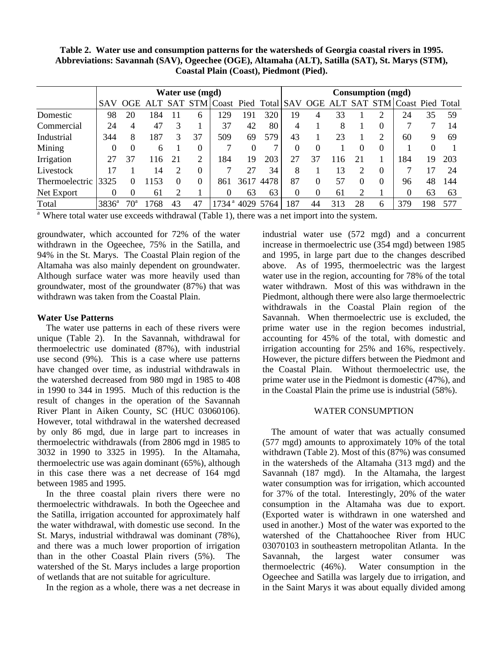**Table 2. Water use and consumption patterns for the watersheds of Georgia coastal rivers in 1995. Abbreviations: Savannah (SAV), Ogeechee (OGE), Altamaha (ALT), Satilla (SAT), St. Marys (STM), Coastal Plain (Coast), Piedmont (Pied).**

|                | Water use (mgd) |              |      |            |          |                              |      |           | Consumption (mgd) |          |     |          |             |                  |     |     |
|----------------|-----------------|--------------|------|------------|----------|------------------------------|------|-----------|-------------------|----------|-----|----------|-------------|------------------|-----|-----|
|                | <b>SAV</b>      | <b>OGE</b>   | AI.T | <b>SAT</b> |          | STM Coast Pied Total SAV OGE |      |           |                   |          |     |          | ALT SAT STM | Coast Pied Total |     |     |
| Domestic       | 98              | 20           | 184  |            | 6        | 29                           | 191  | 320       | 19                | 4        | 33  |          | ∍           | 24               | 35  | 59  |
| Commercial     | 24              | 4            | 47   |            |          | 37                           | 42   | 80        | 4                 |          | 8   |          | $\theta$    | ┑                |     | 14  |
| Industrial     | 344             | 8            | 187  | 3          | 37       | 509                          | 69   | 579       | 43                |          | 23  |          | ∍           | 60               | 9   | 69  |
| Mining         |                 |              | 6    |            | 0        |                              | 0    |           |                   | 0        |     |          | $\Omega$    |                  |     |     |
| Irrigation     | 27              | 37           | 116  | 21         | 2        | 184                          | 19   | 203       | 27                | 37       | 16  | 21       |             | 184              | 19  | 203 |
| Livestock      | 17              |              | 14   |            | $\Omega$ |                              |      | 34        | 8                 |          | 13  | ∍        | $\theta$    |                  |     | 24  |
| Thermoelectric | 3325            | $\Omega$     | 153  | $\theta$   |          | 861                          | 3617 | 4478      | 87                | $\Omega$ | 57  | $\Omega$ | $\Omega$    | 96               | 48  | 144 |
| Net Export     |                 |              | 61   | ⌒          |          |                              | 63   | 63        | $\theta$          | 0        | 61  | ◠        |             | $\Omega$         | 63  | 63  |
| Total          | $3836^a$        | $70^{\circ}$ | 768  | 43         | 47       | $1734^{\text{a}}$            |      | 4029 5764 | 187               | 44       | 313 | 28       | 6           | 379              | 198 | 577 |

 $a<sup>a</sup>$  Where total water use exceeds withdrawal (Table 1), there was a net import into the system.

groundwater, which accounted for 72% of the water withdrawn in the Ogeechee, 75% in the Satilla, and 94% in the St. Marys. The Coastal Plain region of the Altamaha was also mainly dependent on groundwater. Although surface water was more heavily used than groundwater, most of the groundwater (87%) that was withdrawn was taken from the Coastal Plain.

## **Water Use Patterns**

The water use patterns in each of these rivers were unique (Table 2). In the Savannah, withdrawal for thermoelectric use dominated (87%), with industrial use second (9%). This is a case where use patterns have changed over time, as industrial withdrawals in the watershed decreased from 980 mgd in 1985 to 408 in 1990 to 344 in 1995. Much of this reduction is the result of changes in the operation of the Savannah River Plant in Aiken County, SC (HUC 03060106). However, total withdrawal in the watershed decreased by only 86 mgd, due in large part to increases in thermoelectric withdrawals (from 2806 mgd in 1985 to 3032 in 1990 to 3325 in 1995). In the Altamaha, thermoelectric use was again dominant (65%), although in this case there was a net decrease of 164 mgd between 1985 and 1995.

In the three coastal plain rivers there were no thermoelectric withdrawals. In both the Ogeechee and the Satilla, irrigation accounted for approximately half the water withdrawal, with domestic use second. In the St. Marys, industrial withdrawal was dominant (78%), and there was a much lower proportion of irrigation than in the other Coastal Plain rivers (5%). The watershed of the St. Marys includes a large proportion of wetlands that are not suitable for agriculture.

In the region as a whole, there was a net decrease in

industrial water use (572 mgd) and a concurrent increase in thermoelectric use (354 mgd) between 1985 and 1995, in large part due to the changes described above. As of 1995, thermoelectric was the largest water use in the region, accounting for 78% of the total water withdrawn. Most of this was withdrawn in the Piedmont, although there were also large thermoelectric withdrawals in the Coastal Plain region of the Savannah. When thermoelectric use is excluded, the prime water use in the region becomes industrial, accounting for 45% of the total, with domestic and irrigation accounting for 25% and 16%, respectively. However, the picture differs between the Piedmont and the Coastal Plain. Without thermoelectric use, the prime water use in the Piedmont is domestic (47%), and in the Coastal Plain the prime use is industrial (58%).

# WATER CONSUMPTION

The amount of water that was actually consumed (577 mgd) amounts to approximately 10% of the total withdrawn (Table 2). Most of this (87%) was consumed in the watersheds of the Altamaha (313 mgd) and the Savannah (187 mgd). In the Altamaha, the largest water consumption was for irrigation, which accounted for 37% of the total. Interestingly, 20% of the water consumption in the Altamaha was due to export. (Exported water is withdrawn in one watershed and used in another.) Most of the water was exported to the watershed of the Chattahoochee River from HUC 03070103 in southeastern metropolitan Atlanta. In the Savannah, the largest water consumer was thermoelectric (46%). Water consumption in the Ogeechee and Satilla was largely due to irrigation, and in the Saint Marys it was about equally divided among